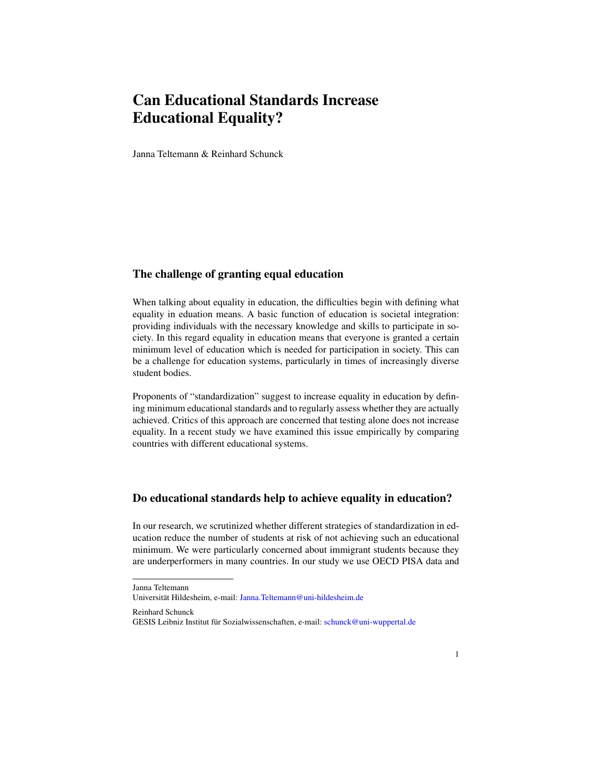## Can Educational Standards Increase Educational Equality?

Janna Teltemann & Reinhard Schunck

## The challenge of granting equal education

When talking about equality in education, the difficulties begin with defining what equality in eduation means. A basic function of education is societal integration: providing individuals with the necessary knowledge and skills to participate in society. In this regard equality in education means that everyone is granted a certain minimum level of education which is needed for participation in society. This can be a challenge for education systems, particularly in times of increasingly diverse student bodies.

Proponents of "standardization" suggest to increase equality in education by defining minimum educational standards and to regularly assess whether they are actually achieved. Critics of this approach are concerned that testing alone does not increase equality. In a recent study we have examined this issue empirically by comparing countries with different educational systems.

## Do educational standards help to achieve equality in education?

In our research, we scrutinized whether different strategies of standardization in education reduce the number of students at risk of not achieving such an educational minimum. We were particularly concerned about immigrant students because they are underperformers in many countries. In our study we use OECD PISA data and

Reinhard Schunck

Janna Teltemann

Universität Hildesheim, e-mail: [Janna.Teltemann@uni-hildesheim.de](mailto:Janna.Teltemann@uni-hildesheim.de )

GESIS Leibniz Institut für Sozialwissenschaften, e-mail: [schunck@uni-wuppertal.de](mailto:schunck@uni-wuppertal.de)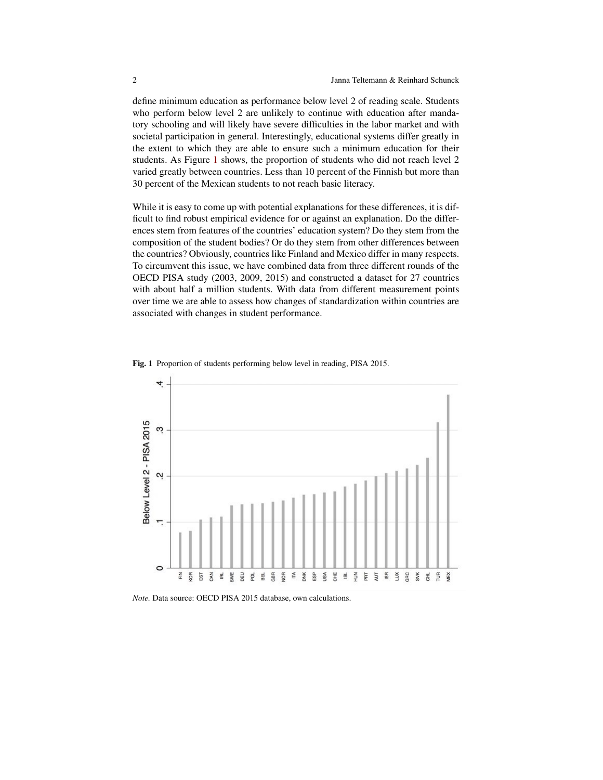define minimum education as performance below level 2 of reading scale. Students who perform below level 2 are unlikely to continue with education after mandatory schooling and will likely have severe difficulties in the labor market and with societal participation in general. Interestingly, educational systems differ greatly in the extent to which they are able to ensure such a minimum education for their students. As Figure [1](#page-1-0) shows, the proportion of students who did not reach level 2 varied greatly between countries. Less than 10 percent of the Finnish but more than 30 percent of the Mexican students to not reach basic literacy.

While it is easy to come up with potential explanations for these differences, it is difficult to find robust empirical evidence for or against an explanation. Do the differences stem from features of the countries' education system? Do they stem from the composition of the student bodies? Or do they stem from other differences between the countries? Obviously, countries like Finland and Mexico differ in many respects. To circumvent this issue, we have combined data from three different rounds of the OECD PISA study (2003, 2009, 2015) and constructed a dataset for 27 countries with about half a million students. With data from different measurement points over time we are able to assess how changes of standardization within countries are associated with changes in student performance.



<span id="page-1-0"></span>Fig. 1 Proportion of students performing below level in reading, PISA 2015.

*Note.* Data source: OECD PISA 2015 database, own calculations.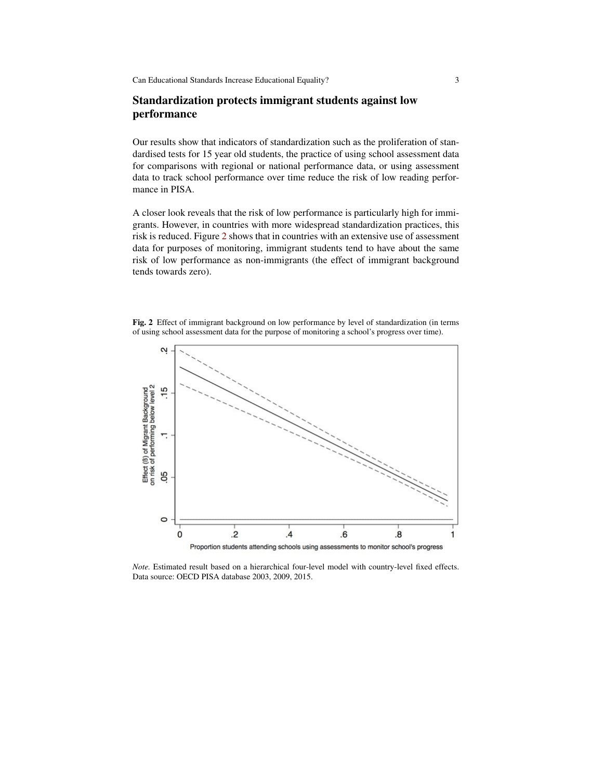Can Educational Standards Increase Educational Equality? 3

## Standardization protects immigrant students against low performance

Our results show that indicators of standardization such as the proliferation of standardised tests for 15 year old students, the practice of using school assessment data for comparisons with regional or national performance data, or using assessment data to track school performance over time reduce the risk of low reading performance in PISA.

A closer look reveals that the risk of low performance is particularly high for immigrants. However, in countries with more widespread standardization practices, this risk is reduced. Figure [2](#page-2-0) shows that in countries with an extensive use of assessment data for purposes of monitoring, immigrant students tend to have about the same risk of low performance as non-immigrants (the effect of immigrant background tends towards zero).

<span id="page-2-0"></span>Fig. 2 Effect of immigrant background on low performance by level of standardization (in terms of using school assessment data for the purpose of monitoring a school's progress over time).



*Note.* Estimated result based on a hierarchical four-level model with country-level fixed effects. Data source: OECD PISA database 2003, 2009, 2015.